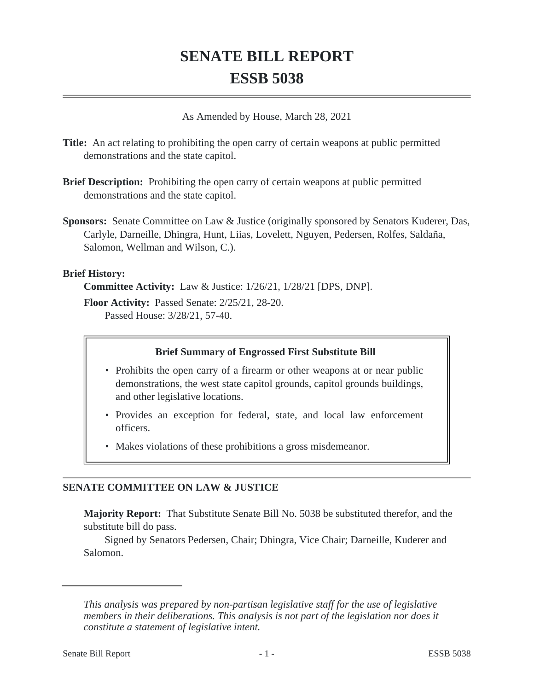# **SENATE BILL REPORT ESSB 5038**

As Amended by House, March 28, 2021

- **Title:** An act relating to prohibiting the open carry of certain weapons at public permitted demonstrations and the state capitol.
- **Brief Description:** Prohibiting the open carry of certain weapons at public permitted demonstrations and the state capitol.
- **Sponsors:** Senate Committee on Law & Justice (originally sponsored by Senators Kuderer, Das, Carlyle, Darneille, Dhingra, Hunt, Liias, Lovelett, Nguyen, Pedersen, Rolfes, Saldaña, Salomon, Wellman and Wilson, C.).

### **Brief History:**

**Committee Activity:** Law & Justice: 1/26/21, 1/28/21 [DPS, DNP].

**Floor Activity:** Passed Senate: 2/25/21, 28-20. Passed House: 3/28/21, 57-40.

## **Brief Summary of Engrossed First Substitute Bill**

- Prohibits the open carry of a firearm or other weapons at or near public demonstrations, the west state capitol grounds, capitol grounds buildings, and other legislative locations.
- Provides an exception for federal, state, and local law enforcement officers.
- Makes violations of these prohibitions a gross misdemeanor.

# **SENATE COMMITTEE ON LAW & JUSTICE**

**Majority Report:** That Substitute Senate Bill No. 5038 be substituted therefor, and the substitute bill do pass.

Signed by Senators Pedersen, Chair; Dhingra, Vice Chair; Darneille, Kuderer and Salomon.

*This analysis was prepared by non-partisan legislative staff for the use of legislative members in their deliberations. This analysis is not part of the legislation nor does it constitute a statement of legislative intent.*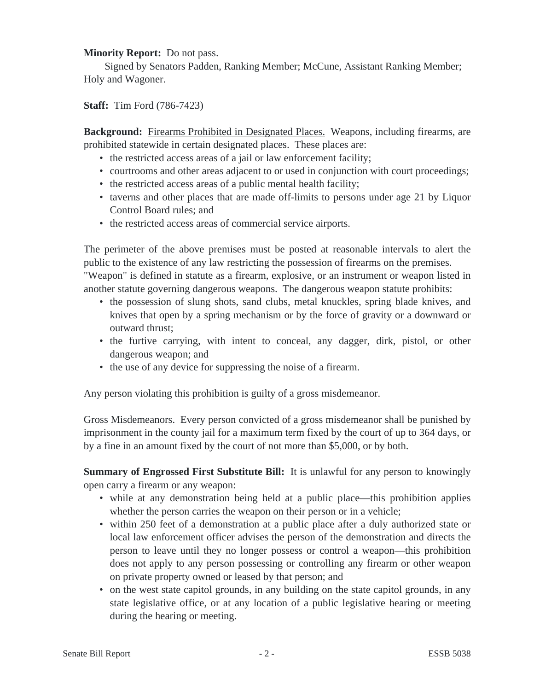#### **Minority Report:** Do not pass.

Signed by Senators Padden, Ranking Member; McCune, Assistant Ranking Member; Holy and Wagoner.

**Staff:** Tim Ford (786-7423)

**Background:** Firearms Prohibited in Designated Places. Weapons, including firearms, are prohibited statewide in certain designated places. These places are:

- the restricted access areas of a jail or law enforcement facility;
- courtrooms and other areas adjacent to or used in conjunction with court proceedings;
- the restricted access areas of a public mental health facility;
- taverns and other places that are made off-limits to persons under age 21 by Liquor Control Board rules; and
- the restricted access areas of commercial service airports.

The perimeter of the above premises must be posted at reasonable intervals to alert the public to the existence of any law restricting the possession of firearms on the premises.

"Weapon" is defined in statute as a firearm, explosive, or an instrument or weapon listed in another statute governing dangerous weapons. The dangerous weapon statute prohibits:

- the possession of slung shots, sand clubs, metal knuckles, spring blade knives, and knives that open by a spring mechanism or by the force of gravity or a downward or outward thrust;
- the furtive carrying, with intent to conceal, any dagger, dirk, pistol, or other dangerous weapon; and
- the use of any device for suppressing the noise of a firearm.

Any person violating this prohibition is guilty of a gross misdemeanor.

Gross Misdemeanors. Every person convicted of a gross misdemeanor shall be punished by imprisonment in the county jail for a maximum term fixed by the court of up to 364 days, or by a fine in an amount fixed by the court of not more than \$5,000, or by both.

**Summary of Engrossed First Substitute Bill:** It is unlawful for any person to knowingly open carry a firearm or any weapon:

- while at any demonstration being held at a public place—this prohibition applies whether the person carries the weapon on their person or in a vehicle;
- within 250 feet of a demonstration at a public place after a duly authorized state or local law enforcement officer advises the person of the demonstration and directs the person to leave until they no longer possess or control a weapon—this prohibition does not apply to any person possessing or controlling any firearm or other weapon on private property owned or leased by that person; and
- on the west state capitol grounds, in any building on the state capitol grounds, in any state legislative office, or at any location of a public legislative hearing or meeting during the hearing or meeting.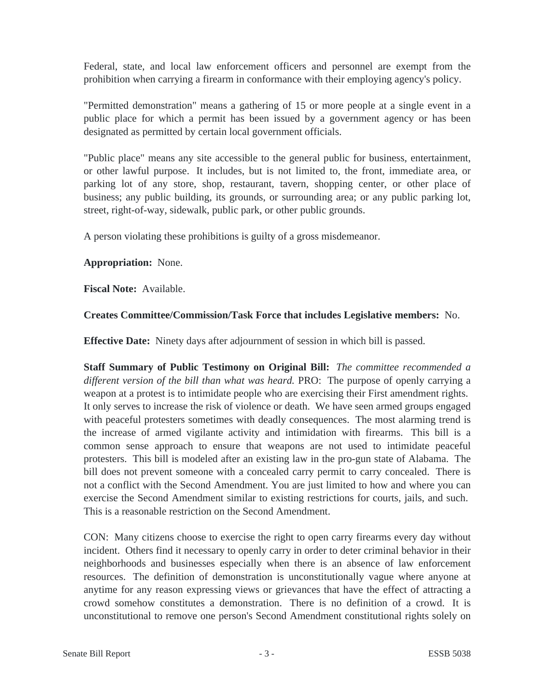Federal, state, and local law enforcement officers and personnel are exempt from the prohibition when carrying a firearm in conformance with their employing agency's policy.

"Permitted demonstration" means a gathering of 15 or more people at a single event in a public place for which a permit has been issued by a government agency or has been designated as permitted by certain local government officials.

"Public place" means any site accessible to the general public for business, entertainment, or other lawful purpose. It includes, but is not limited to, the front, immediate area, or parking lot of any store, shop, restaurant, tavern, shopping center, or other place of business; any public building, its grounds, or surrounding area; or any public parking lot, street, right-of-way, sidewalk, public park, or other public grounds.

A person violating these prohibitions is guilty of a gross misdemeanor.

#### **Appropriation:** None.

**Fiscal Note:** Available.

#### **Creates Committee/Commission/Task Force that includes Legislative members:** No.

**Effective Date:** Ninety days after adjournment of session in which bill is passed.

**Staff Summary of Public Testimony on Original Bill:** *The committee recommended a different version of the bill than what was heard.* PRO: The purpose of openly carrying a weapon at a protest is to intimidate people who are exercising their First amendment rights. It only serves to increase the risk of violence or death. We have seen armed groups engaged with peaceful protesters sometimes with deadly consequences. The most alarming trend is the increase of armed vigilante activity and intimidation with firearms. This bill is a common sense approach to ensure that weapons are not used to intimidate peaceful protesters. This bill is modeled after an existing law in the pro-gun state of Alabama. The bill does not prevent someone with a concealed carry permit to carry concealed. There is not a conflict with the Second Amendment. You are just limited to how and where you can exercise the Second Amendment similar to existing restrictions for courts, jails, and such. This is a reasonable restriction on the Second Amendment.

CON: Many citizens choose to exercise the right to open carry firearms every day without incident. Others find it necessary to openly carry in order to deter criminal behavior in their neighborhoods and businesses especially when there is an absence of law enforcement resources. The definition of demonstration is unconstitutionally vague where anyone at anytime for any reason expressing views or grievances that have the effect of attracting a crowd somehow constitutes a demonstration. There is no definition of a crowd. It is unconstitutional to remove one person's Second Amendment constitutional rights solely on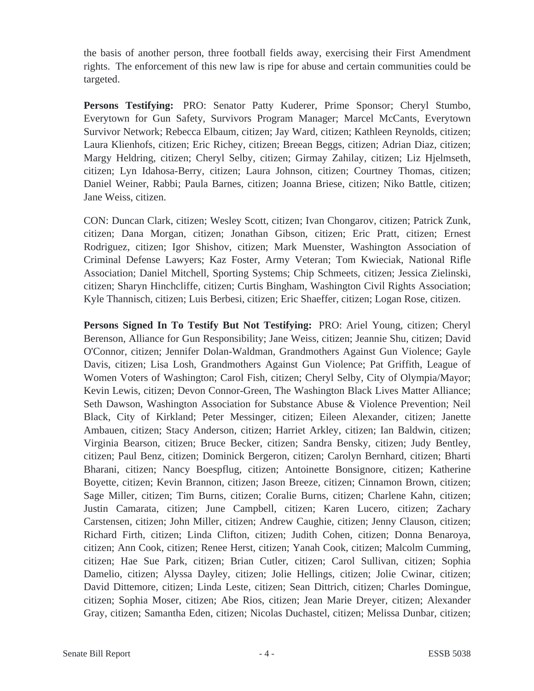the basis of another person, three football fields away, exercising their First Amendment rights. The enforcement of this new law is ripe for abuse and certain communities could be targeted.

**Persons Testifying:** PRO: Senator Patty Kuderer, Prime Sponsor; Cheryl Stumbo, Everytown for Gun Safety, Survivors Program Manager; Marcel McCants, Everytown Survivor Network; Rebecca Elbaum, citizen; Jay Ward, citizen; Kathleen Reynolds, citizen; Laura Klienhofs, citizen; Eric Richey, citizen; Breean Beggs, citizen; Adrian Diaz, citizen; Margy Heldring, citizen; Cheryl Selby, citizen; Girmay Zahilay, citizen; Liz Hjelmseth, citizen; Lyn Idahosa-Berry, citizen; Laura Johnson, citizen; Courtney Thomas, citizen; Daniel Weiner, Rabbi; Paula Barnes, citizen; Joanna Briese, citizen; Niko Battle, citizen; Jane Weiss, citizen.

CON: Duncan Clark, citizen; Wesley Scott, citizen; Ivan Chongarov, citizen; Patrick Zunk, citizen; Dana Morgan, citizen; Jonathan Gibson, citizen; Eric Pratt, citizen; Ernest Rodriguez, citizen; Igor Shishov, citizen; Mark Muenster, Washington Association of Criminal Defense Lawyers; Kaz Foster, Army Veteran; Tom Kwieciak, National Rifle Association; Daniel Mitchell, Sporting Systems; Chip Schmeets, citizen; Jessica Zielinski, citizen; Sharyn Hinchcliffe, citizen; Curtis Bingham, Washington Civil Rights Association; Kyle Thannisch, citizen; Luis Berbesi, citizen; Eric Shaeffer, citizen; Logan Rose, citizen.

**Persons Signed In To Testify But Not Testifying:** PRO: Ariel Young, citizen; Cheryl Berenson, Alliance for Gun Responsibility; Jane Weiss, citizen; Jeannie Shu, citizen; David O'Connor, citizen; Jennifer Dolan-Waldman, Grandmothers Against Gun Violence; Gayle Davis, citizen; Lisa Losh, Grandmothers Against Gun Violence; Pat Griffith, League of Women Voters of Washington; Carol Fish, citizen; Cheryl Selby, City of Olympia/Mayor; Kevin Lewis, citizen; Devon Connor-Green, The Washington Black Lives Matter Alliance; Seth Dawson, Washington Association for Substance Abuse & Violence Prevention; Neil Black, City of Kirkland; Peter Messinger, citizen; Eileen Alexander, citizen; Janette Ambauen, citizen; Stacy Anderson, citizen; Harriet Arkley, citizen; Ian Baldwin, citizen; Virginia Bearson, citizen; Bruce Becker, citizen; Sandra Bensky, citizen; Judy Bentley, citizen; Paul Benz, citizen; Dominick Bergeron, citizen; Carolyn Bernhard, citizen; Bharti Bharani, citizen; Nancy Boespflug, citizen; Antoinette Bonsignore, citizen; Katherine Boyette, citizen; Kevin Brannon, citizen; Jason Breeze, citizen; Cinnamon Brown, citizen; Sage Miller, citizen; Tim Burns, citizen; Coralie Burns, citizen; Charlene Kahn, citizen; Justin Camarata, citizen; June Campbell, citizen; Karen Lucero, citizen; Zachary Carstensen, citizen; John Miller, citizen; Andrew Caughie, citizen; Jenny Clauson, citizen; Richard Firth, citizen; Linda Clifton, citizen; Judith Cohen, citizen; Donna Benaroya, citizen; Ann Cook, citizen; Renee Herst, citizen; Yanah Cook, citizen; Malcolm Cumming, citizen; Hae Sue Park, citizen; Brian Cutler, citizen; Carol Sullivan, citizen; Sophia Damelio, citizen; Alyssa Dayley, citizen; Jolie Hellings, citizen; Jolie Cwinar, citizen; David Dittemore, citizen; Linda Leste, citizen; Sean Dittrich, citizen; Charles Domingue, citizen; Sophia Moser, citizen; Abe Rios, citizen; Jean Marie Dreyer, citizen; Alexander Gray, citizen; Samantha Eden, citizen; Nicolas Duchastel, citizen; Melissa Dunbar, citizen;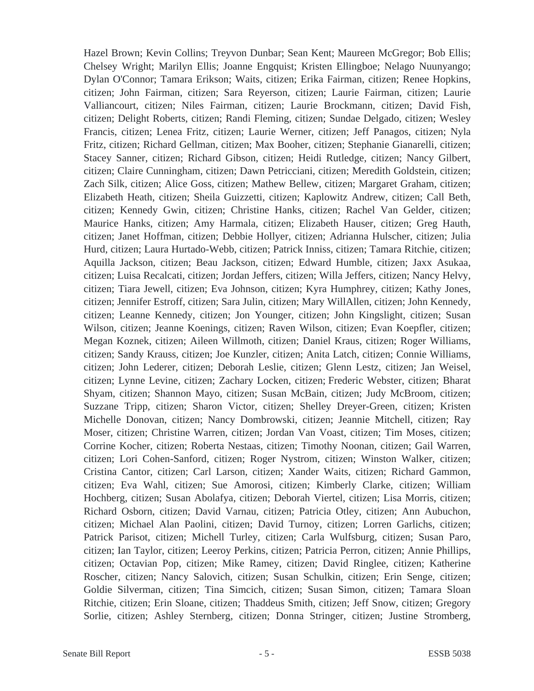Hazel Brown; Kevin Collins; Treyvon Dunbar; Sean Kent; Maureen McGregor; Bob Ellis; Chelsey Wright; Marilyn Ellis; Joanne Engquist; Kristen Ellingboe; Nelago Nuunyango; Dylan O'Connor; Tamara Erikson; Waits, citizen; Erika Fairman, citizen; Renee Hopkins, citizen; John Fairman, citizen; Sara Reyerson, citizen; Laurie Fairman, citizen; Laurie Valliancourt, citizen; Niles Fairman, citizen; Laurie Brockmann, citizen; David Fish, citizen; Delight Roberts, citizen; Randi Fleming, citizen; Sundae Delgado, citizen; Wesley Francis, citizen; Lenea Fritz, citizen; Laurie Werner, citizen; Jeff Panagos, citizen; Nyla Fritz, citizen; Richard Gellman, citizen; Max Booher, citizen; Stephanie Gianarelli, citizen; Stacey Sanner, citizen; Richard Gibson, citizen; Heidi Rutledge, citizen; Nancy Gilbert, citizen; Claire Cunningham, citizen; Dawn Petricciani, citizen; Meredith Goldstein, citizen; Zach Silk, citizen; Alice Goss, citizen; Mathew Bellew, citizen; Margaret Graham, citizen; Elizabeth Heath, citizen; Sheila Guizzetti, citizen; Kaplowitz Andrew, citizen; Call Beth, citizen; Kennedy Gwin, citizen; Christine Hanks, citizen; Rachel Van Gelder, citizen; Maurice Hanks, citizen; Amy Harmala, citizen; Elizabeth Hauser, citizen; Greg Hauth, citizen; Janet Hoffman, citizen; Debbie Hollyer, citizen; Adrianna Hulscher, citizen; Julia Hurd, citizen; Laura Hurtado-Webb, citizen; Patrick Inniss, citizen; Tamara Ritchie, citizen; Aquilla Jackson, citizen; Beau Jackson, citizen; Edward Humble, citizen; Jaxx Asukaa, citizen; Luisa Recalcati, citizen; Jordan Jeffers, citizen; Willa Jeffers, citizen; Nancy Helvy, citizen; Tiara Jewell, citizen; Eva Johnson, citizen; Kyra Humphrey, citizen; Kathy Jones, citizen; Jennifer Estroff, citizen; Sara Julin, citizen; Mary WillAllen, citizen; John Kennedy, citizen; Leanne Kennedy, citizen; Jon Younger, citizen; John Kingslight, citizen; Susan Wilson, citizen; Jeanne Koenings, citizen; Raven Wilson, citizen; Evan Koepfler, citizen; Megan Koznek, citizen; Aileen Willmoth, citizen; Daniel Kraus, citizen; Roger Williams, citizen; Sandy Krauss, citizen; Joe Kunzler, citizen; Anita Latch, citizen; Connie Williams, citizen; John Lederer, citizen; Deborah Leslie, citizen; Glenn Lestz, citizen; Jan Weisel, citizen; Lynne Levine, citizen; Zachary Locken, citizen; Frederic Webster, citizen; Bharat Shyam, citizen; Shannon Mayo, citizen; Susan McBain, citizen; Judy McBroom, citizen; Suzzane Tripp, citizen; Sharon Victor, citizen; Shelley Dreyer-Green, citizen; Kristen Michelle Donovan, citizen; Nancy Dombrowski, citizen; Jeannie Mitchell, citizen; Ray Moser, citizen; Christine Warren, citizen; Jordan Van Voast, citizen; Tim Moses, citizen; Corrine Kocher, citizen; Roberta Nestaas, citizen; Timothy Noonan, citizen; Gail Warren, citizen; Lori Cohen-Sanford, citizen; Roger Nystrom, citizen; Winston Walker, citizen; Cristina Cantor, citizen; Carl Larson, citizen; Xander Waits, citizen; Richard Gammon, citizen; Eva Wahl, citizen; Sue Amorosi, citizen; Kimberly Clarke, citizen; William Hochberg, citizen; Susan Abolafya, citizen; Deborah Viertel, citizen; Lisa Morris, citizen; Richard Osborn, citizen; David Varnau, citizen; Patricia Otley, citizen; Ann Aubuchon, citizen; Michael Alan Paolini, citizen; David Turnoy, citizen; Lorren Garlichs, citizen; Patrick Parisot, citizen; Michell Turley, citizen; Carla Wulfsburg, citizen; Susan Paro, citizen; Ian Taylor, citizen; Leeroy Perkins, citizen; Patricia Perron, citizen; Annie Phillips, citizen; Octavian Pop, citizen; Mike Ramey, citizen; David Ringlee, citizen; Katherine Roscher, citizen; Nancy Salovich, citizen; Susan Schulkin, citizen; Erin Senge, citizen; Goldie Silverman, citizen; Tina Simcich, citizen; Susan Simon, citizen; Tamara Sloan Ritchie, citizen; Erin Sloane, citizen; Thaddeus Smith, citizen; Jeff Snow, citizen; Gregory Sorlie, citizen; Ashley Sternberg, citizen; Donna Stringer, citizen; Justine Stromberg,